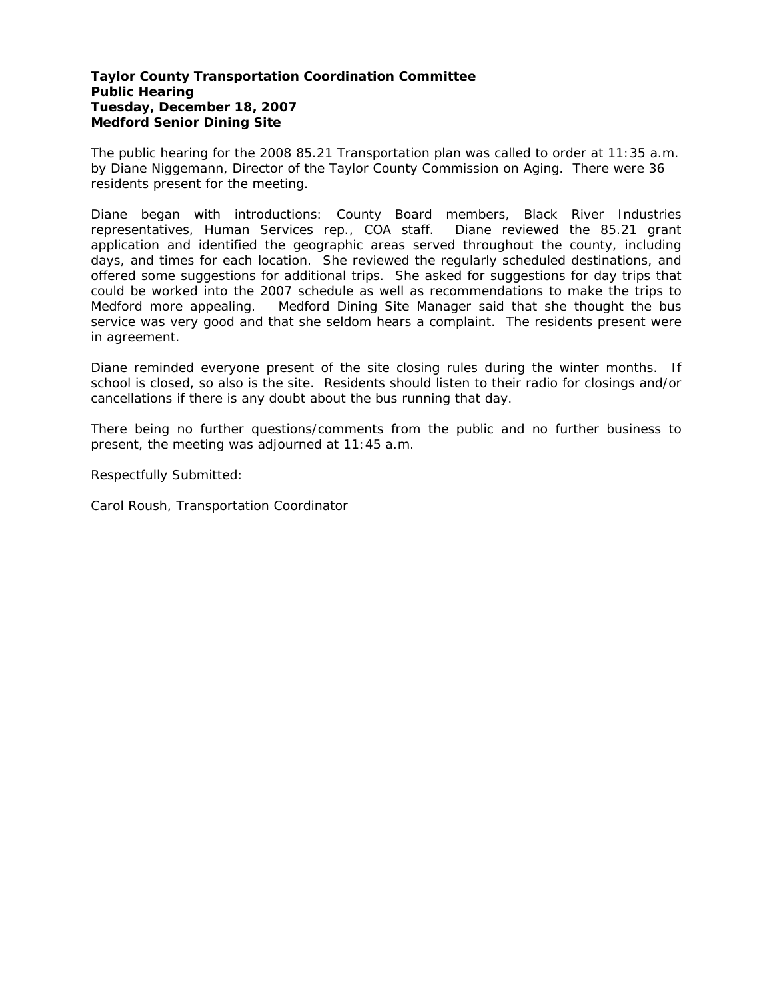# **Taylor County Transportation Coordination Committee Public Hearing Tuesday, December 18, 2007 Medford Senior Dining Site**

The public hearing for the 2008 85.21 Transportation plan was called to order at 11:35 a.m. by Diane Niggemann, Director of the Taylor County Commission on Aging. There were 36 residents present for the meeting.

Diane began with introductions: County Board members, Black River Industries representatives, Human Services rep., COA staff. Diane reviewed the 85.21 grant application and identified the geographic areas served throughout the county, including days, and times for each location. She reviewed the regularly scheduled destinations, and offered some suggestions for additional trips. She asked for suggestions for day trips that could be worked into the 2007 schedule as well as recommendations to make the trips to Medford more appealing. Medford Dining Site Manager said that she thought the bus service was very good and that she seldom hears a complaint. The residents present were in agreement.

Diane reminded everyone present of the site closing rules during the winter months. If school is closed, so also is the site. Residents should listen to their radio for closings and/or cancellations if there is any doubt about the bus running that day.

There being no further questions/comments from the public and no further business to present, the meeting was adjourned at 11:45 a.m.

Respectfully Submitted: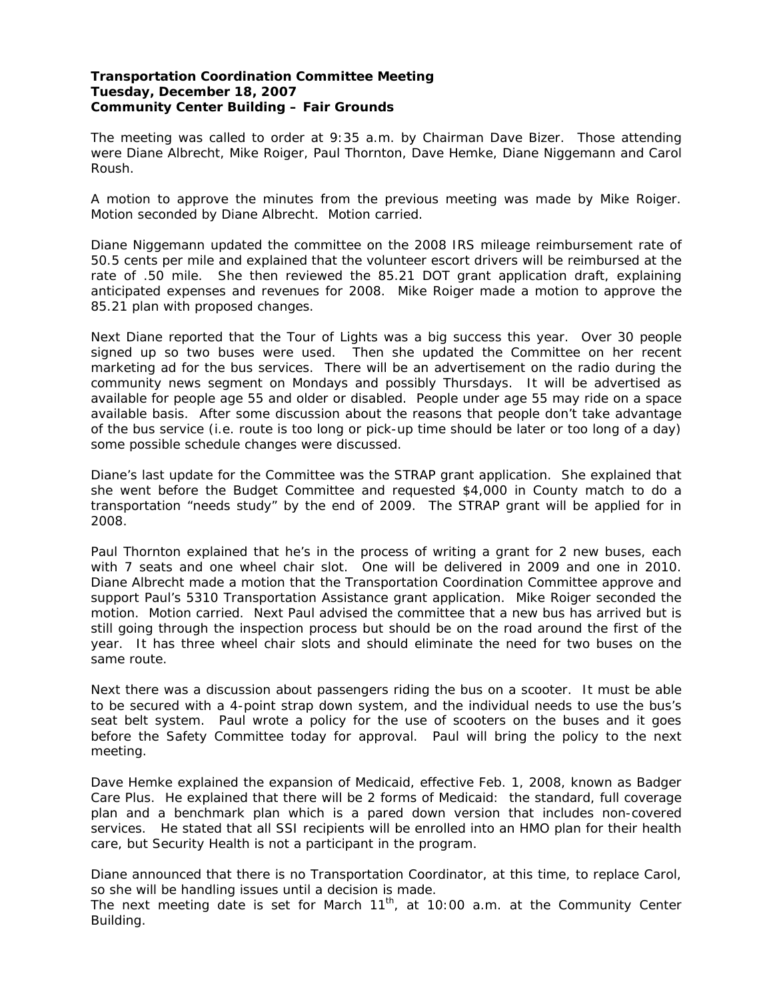## **Transportation Coordination Committee Meeting Tuesday, December 18, 2007 Community Center Building – Fair Grounds**

The meeting was called to order at 9:35 a.m. by Chairman Dave Bizer. Those attending were Diane Albrecht, Mike Roiger, Paul Thornton, Dave Hemke, Diane Niggemann and Carol Roush.

A motion to approve the minutes from the previous meeting was made by Mike Roiger. Motion seconded by Diane Albrecht. Motion carried.

Diane Niggemann updated the committee on the 2008 IRS mileage reimbursement rate of 50.5 cents per mile and explained that the volunteer escort drivers will be reimbursed at the rate of .50 mile. She then reviewed the 85.21 DOT grant application draft, explaining anticipated expenses and revenues for 2008. Mike Roiger made a motion to approve the 85.21 plan with proposed changes.

Next Diane reported that the Tour of Lights was a big success this year. Over 30 people signed up so two buses were used. Then she updated the Committee on her recent marketing ad for the bus services. There will be an advertisement on the radio during the community news segment on Mondays and possibly Thursdays. It will be advertised as available for people age 55 and older or disabled. People under age 55 may ride on a space available basis. After some discussion about the reasons that people don't take advantage of the bus service (i.e. route is too long or pick-up time should be later or too long of a day) some possible schedule changes were discussed.

Diane's last update for the Committee was the STRAP grant application. She explained that she went before the Budget Committee and requested \$4,000 in County match to do a transportation "needs study" by the end of 2009. The STRAP grant will be applied for in 2008.

Paul Thornton explained that he's in the process of writing a grant for 2 new buses, each with 7 seats and one wheel chair slot. One will be delivered in 2009 and one in 2010. Diane Albrecht made a motion that the Transportation Coordination Committee approve and support Paul's 5310 Transportation Assistance grant application. Mike Roiger seconded the motion. Motion carried. Next Paul advised the committee that a new bus has arrived but is still going through the inspection process but should be on the road around the first of the year. It has three wheel chair slots and should eliminate the need for two buses on the same route.

Next there was a discussion about passengers riding the bus on a scooter. It must be able to be secured with a 4-point strap down system, and the individual needs to use the bus's seat belt system. Paul wrote a policy for the use of scooters on the buses and it goes before the Safety Committee today for approval. Paul will bring the policy to the next meeting.

Dave Hemke explained the expansion of Medicaid, effective Feb. 1, 2008, known as Badger Care Plus. He explained that there will be 2 forms of Medicaid: the standard, full coverage plan and a benchmark plan which is a pared down version that includes non-covered services. He stated that all SSI recipients will be enrolled into an HMO plan for their health care, but Security Health is not a participant in the program.

Diane announced that there is no Transportation Coordinator, at this time, to replace Carol, so she will be handling issues until a decision is made.

The next meeting date is set for March  $11<sup>th</sup>$ , at 10:00 a.m. at the Community Center Building.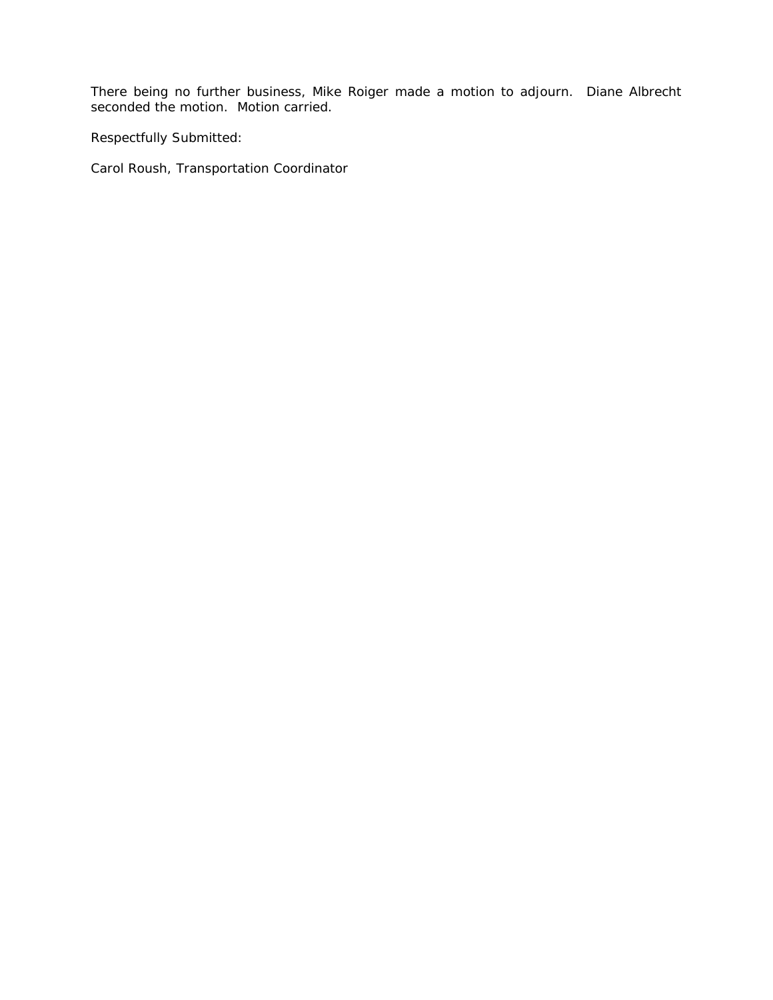There being no further business, Mike Roiger made a motion to adjourn. Diane Albrecht seconded the motion. Motion carried.

Respectfully Submitted: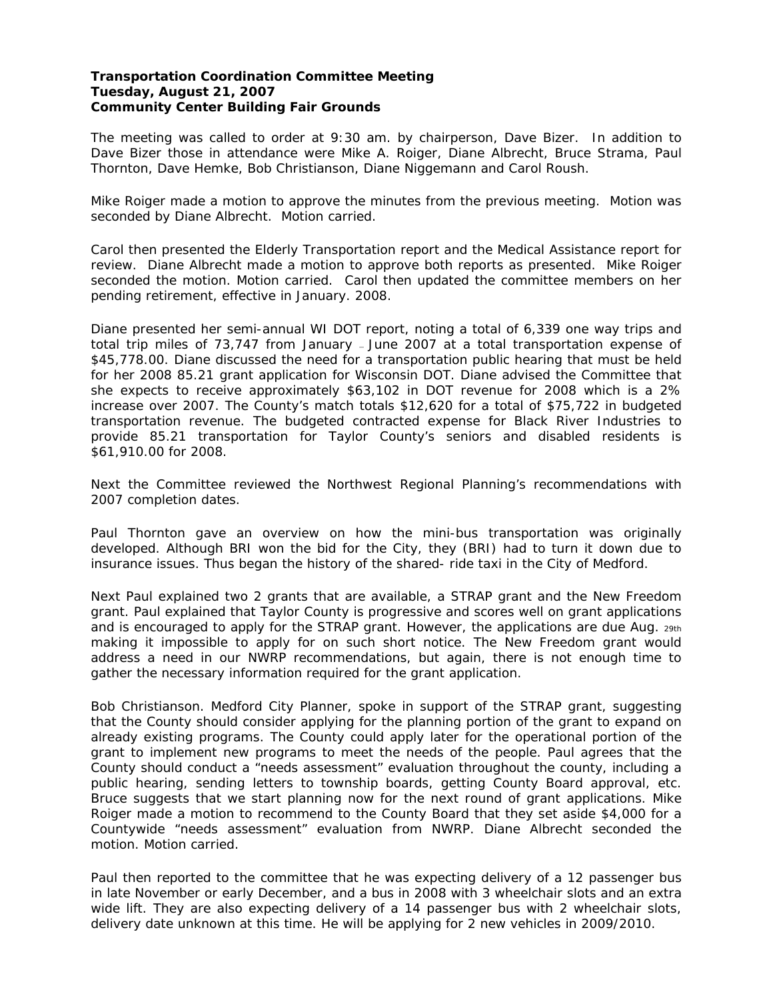## **Transportation Coordination Committee Meeting Tuesday, August 21, 2007 Community Center Building Fair Grounds**

The meeting was called to order at 9:30 am. by chairperson, Dave Bizer. In addition to Dave Bizer those in attendance were Mike A. Roiger, Diane Albrecht, Bruce Strama, Paul Thornton, Dave Hemke, Bob Christianson, Diane Niggemann and Carol Roush.

Mike Roiger made a motion to approve the minutes from the previous meeting. Motion was seconded by Diane Albrecht. Motion carried.

Carol then presented the Elderly Transportation report and the Medical Assistance report for review. Diane Albrecht made a motion to approve both reports as presented. Mike Roiger seconded the motion. Motion carried. Carol then updated the committee members on her pending retirement, effective in January. 2008.

Diane presented her semi-annual WI DOT report, noting a total of 6,339 one way trips and total trip miles of 73,747 from January — June 2007 at a total transportation expense of \$45,778.00. Diane discussed the need for a transportation public hearing that must be held for her 2008 85.21 grant application for Wisconsin DOT. Diane advised the Committee that she expects to receive approximately \$63,102 in DOT revenue for 2008 which is a 2% increase over 2007. The County's match totals \$12,620 for a total of \$75,722 in budgeted transportation revenue. The budgeted contracted expense for Black River Industries to provide 85.21 transportation for Taylor County's seniors and disabled residents is \$61,910.00 for 2008.

Next the Committee reviewed the Northwest Regional Planning's recommendations with 2007 completion dates.

Paul Thornton gave an overview on how the mini-bus transportation was originally developed. Although BRI won the bid for the City, they (BRI) had to turn it down due to insurance issues. Thus began the history of the shared- ride taxi in the City of Medford.

Next Paul explained two 2 grants that are available, a STRAP grant and the New Freedom grant. Paul explained that Taylor County is progressive and scores well on grant applications and is encouraged to apply for the STRAP grant. However, the applications are due Aug. 29th making it impossible to apply for on such short notice. The New Freedom grant would address a need in our NWRP recommendations, but again, there is not enough time to gather the necessary information required for the grant application.

Bob Christianson. Medford City Planner, spoke in support of the STRAP grant, suggesting that the County should consider applying for the planning portion of the grant to expand on already existing programs. The County could apply later for the operational portion of the grant to implement new programs to meet the needs of the people. Paul agrees that the County should conduct a "needs assessment" evaluation throughout the county, including a public hearing, sending letters to township boards, getting County Board approval, etc. Bruce suggests that we start planning now for the next round of grant applications. Mike Roiger made a motion to recommend to the County Board that they set aside \$4,000 for a Countywide "needs assessment" evaluation from NWRP. Diane Albrecht seconded the motion. Motion carried.

Paul then reported to the committee that he was expecting delivery of a 12 passenger bus in late November or early December, and a bus in 2008 with 3 wheelchair slots and an extra wide lift. They are also expecting delivery of a 14 passenger bus with 2 wheelchair slots, delivery date unknown at this time. He will be applying for 2 new vehicles in 2009/2010.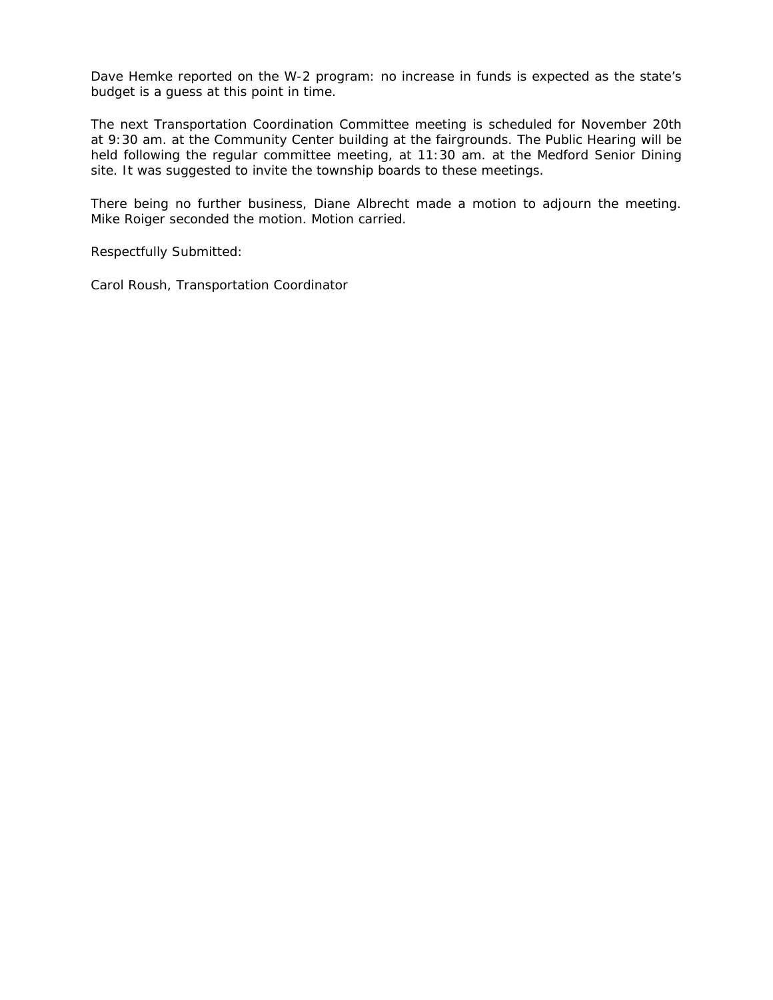Dave Hemke reported on the W-2 program: no increase in funds is expected as the state's budget is a guess at this point in time.

The next Transportation Coordination Committee meeting is scheduled for November 20th at 9:30 am. at the Community Center building at the fairgrounds. The Public Hearing will be held following the regular committee meeting, at 11:30 am. at the Medford Senior Dining site. It was suggested to invite the township boards to these meetings.

There being no further business, Diane Albrecht made a motion to adjourn the meeting. Mike Roiger seconded the motion. Motion carried.

Respectfully Submitted: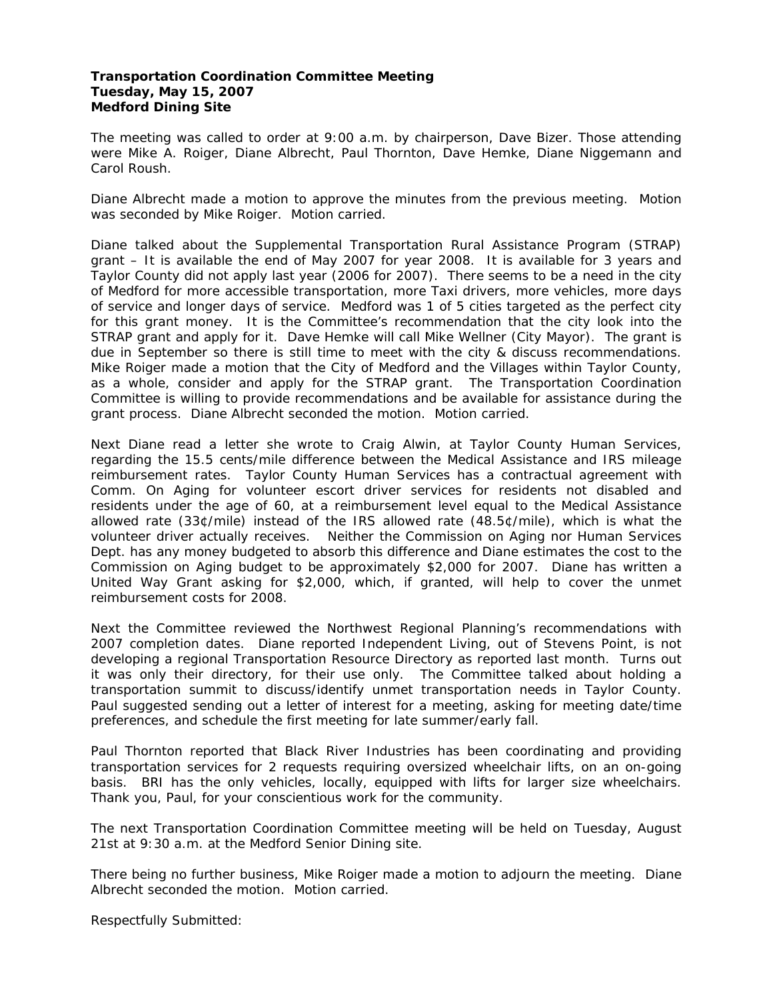# **Transportation Coordination Committee Meeting Tuesday, May 15, 2007 Medford Dining Site**

The meeting was called to order at 9:00 a.m. by chairperson, Dave Bizer. Those attending were Mike A. Roiger, Diane Albrecht, Paul Thornton, Dave Hemke, Diane Niggemann and Carol Roush.

Diane Albrecht made a motion to approve the minutes from the previous meeting. Motion was seconded by Mike Roiger. Motion carried.

Diane talked about the Supplemental Transportation Rural Assistance Program (STRAP) grant – It is available the end of May 2007 for year 2008. It is available for 3 years and Taylor County did not apply last year (2006 for 2007). There seems to be a need in the city of Medford for more accessible transportation, more Taxi drivers, more vehicles, more days of service and longer days of service. Medford was 1 of 5 cities targeted as the perfect city for this grant money. It is the Committee's recommendation that the city look into the STRAP grant and apply for it. Dave Hemke will call Mike Wellner (City Mayor). The grant is due in September so there is still time to meet with the city & discuss recommendations. Mike Roiger made a motion that the City of Medford and the Villages within Taylor County, as a whole, consider and apply for the STRAP grant. The Transportation Coordination Committee is willing to provide recommendations and be available for assistance during the grant process. Diane Albrecht seconded the motion. Motion carried.

Next Diane read a letter she wrote to Craig Alwin, at Taylor County Human Services, regarding the 15.5 cents/mile difference between the Medical Assistance and IRS mileage reimbursement rates. Taylor County Human Services has a contractual agreement with Comm. On Aging for volunteer escort driver services for residents not disabled and residents under the age of 60, at a reimbursement level equal to the Medical Assistance allowed rate (33¢/mile) instead of the IRS allowed rate (48.5¢/mile), which is what the volunteer driver actually receives. Neither the Commission on Aging nor Human Services Dept. has any money budgeted to absorb this difference and Diane estimates the cost to the Commission on Aging budget to be approximately \$2,000 for 2007. Diane has written a United Way Grant asking for \$2,000, which, if granted, will help to cover the unmet reimbursement costs for 2008.

Next the Committee reviewed the Northwest Regional Planning's recommendations with 2007 completion dates. Diane reported Independent Living, out of Stevens Point, is not developing a regional Transportation Resource Directory as reported last month. Turns out it was only their directory, for their use only. The Committee talked about holding a transportation summit to discuss/identify unmet transportation needs in Taylor County. Paul suggested sending out a letter of interest for a meeting, asking for meeting date/time preferences, and schedule the first meeting for late summer/early fall.

Paul Thornton reported that Black River Industries has been coordinating and providing transportation services for 2 requests requiring oversized wheelchair lifts, on an on-going basis. BRI has the only vehicles, locally, equipped with lifts for larger size wheelchairs. Thank you, Paul, for your conscientious work for the community.

The next Transportation Coordination Committee meeting will be held on Tuesday, August 21st at 9:30 a.m. at the Medford Senior Dining site.

There being no further business, Mike Roiger made a motion to adjourn the meeting. Diane Albrecht seconded the motion. Motion carried.

Respectfully Submitted: